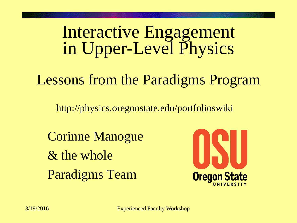#### Interactive Engagement in Upper-Level Physics

#### Lessons from the Paradigms Program

http://physics.oregonstate.edu/portfolioswiki

Corinne Manogue & the whole Paradigms Team

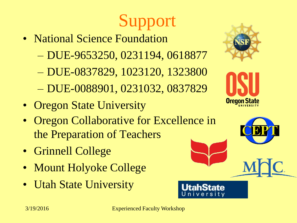# Support

- National Science Foundation
	- DUE-9653250, 0231194, 0618877
	- DUE-0837829, 1023120, 1323800
	- DUE-0088901, 0231032, 0837829
- Oregon State University
- Oregon Collaborative for Excellence in the Preparation of Teachers
- Grinnell College
- Mount Holyoke College
- Utah State University





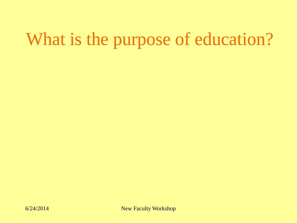## What is the purpose of education?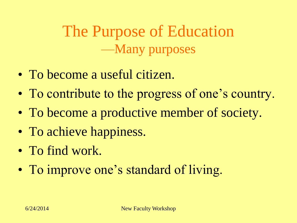The Purpose of Education —Many purposes

- To become a useful citizen.
- To contribute to the progress of one's country.
- To become a productive member of society.
- To achieve happiness.
- To find work.
- To improve one's standard of living.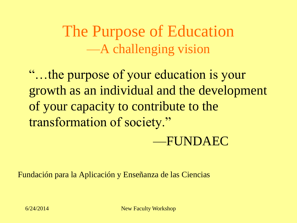The Purpose of Education —A challenging vision

"…the purpose of your education is your growth as an individual and the development of your capacity to contribute to the transformation of society."

#### —FUNDAEC

Fundación para la Aplicación y Enseñanza de las Ciencias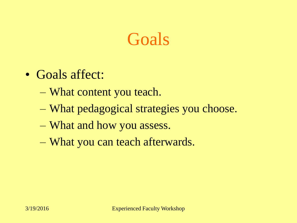#### Goals

- Goals affect:
	- What content you teach.
	- What pedagogical strategies you choose.
	- What and how you assess.
	- What you can teach afterwards.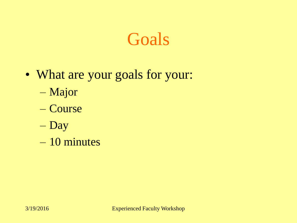#### Goals

- What are your goals for your:
	- Major
	- Course
	- Day
	- 10 minutes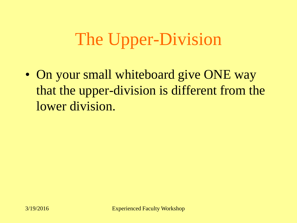## The Upper-Division

• On your small whiteboard give ONE way that the upper-division is different from the lower division.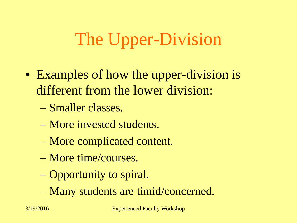## The Upper-Division

- Examples of how the upper-division is different from the lower division:
	- Smaller classes.
	- More invested students.
	- More complicated content.
	- More time/courses.
	- Opportunity to spiral.
	- Many students are timid/concerned.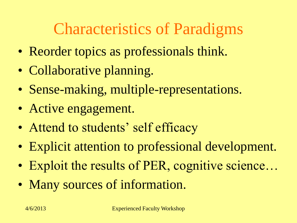#### Characteristics of Paradigms

- Reorder topics as professionals think.
- Collaborative planning.
- Sense-making, multiple-representations.
- Active engagement.
- Attend to students' self efficacy
- Explicit attention to professional development.
- Exploit the results of PER, cognitive science...
- Many sources of information.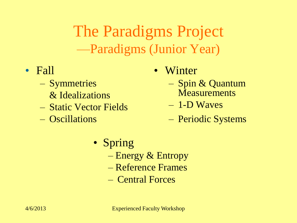The Paradigms Project —Paradigms (Junior Year)

- Fall
	- Symmetries & Idealizations
	- Static Vector Fields
	- Oscillations
- Winter
	- Spin & Quantum **Measurements**
	- 1-D Waves
	- Periodic Systems

- Spring
	- Energy & Entropy
	- Reference Frames
	- Central Forces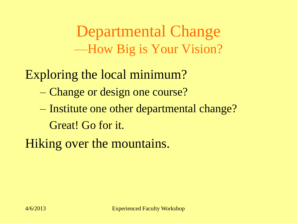Departmental Change —How Big is Your Vision?

Exploring the local minimum?

- Change or design one course?
- Institute one other departmental change? Great! Go for it.

Hiking over the mountains.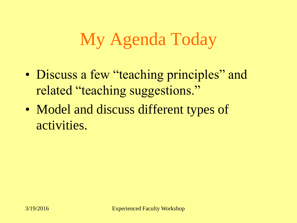## My Agenda Today

- Discuss a few "teaching principles" and related "teaching suggestions."
- Model and discuss different types of activities.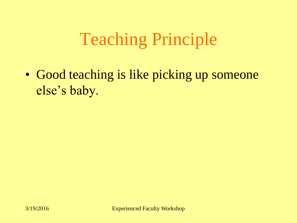## Teaching Principle

• Good teaching is like picking up someone else's baby.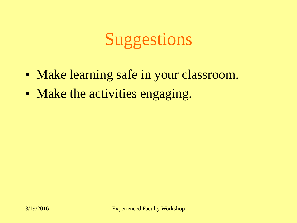## Suggestions

- Make learning safe in your classroom.
- Make the activities engaging.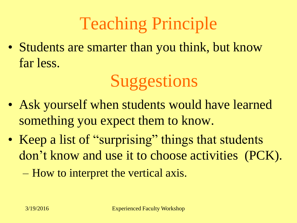## Teaching Principle

• Students are smarter than you think, but know far less.

## **Suggestions**

- Ask yourself when students would have learned something you expect them to know.
- Keep a list of "surprising" things that students don't know and use it to choose activities (PCK).
	- How to interpret the vertical axis.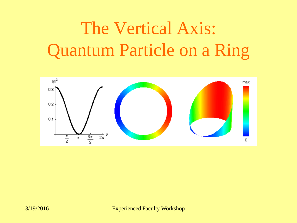## The Vertical Axis: Quantum Particle on a Ring

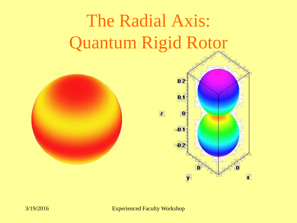# The Radial Axis: Quantum Rigid Rotor



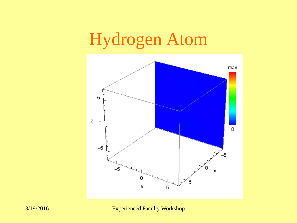## Hydrogen Atom

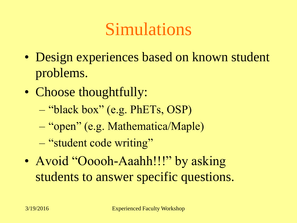## Simulations

- Design experiences based on known student problems.
- Choose thoughtfully:
	- "black box" (e.g. PhETs, OSP)
	- "open" (e.g. Mathematica/Maple)
	- "student code writing"
- Avoid "Ooooh-Aaahh!!!" by asking students to answer specific questions.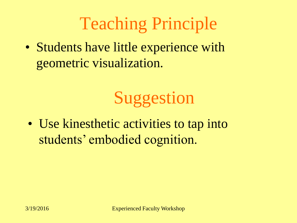## Teaching Principle

• Students have little experience with geometric visualization.

## Suggestion

• Use kinesthetic activities to tap into students' embodied cognition.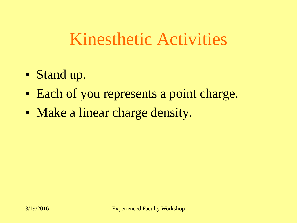#### Kinesthetic Activities

- Stand up.
- Each of you represents a point charge.
- Make a linear charge density.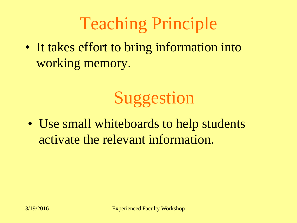## Teaching Principle

• It takes effort to bring information into working memory.

## Suggestion

• Use small whiteboards to help students activate the relevant information.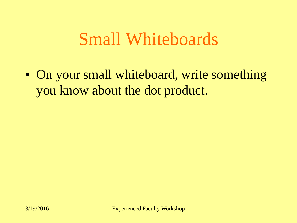#### Small Whiteboards

• On your small whiteboard, write something you know about the dot product.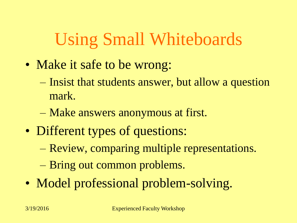## Using Small Whiteboards

- Make it safe to be wrong:
	- Insist that students answer, but allow a question mark.
	- Make answers anonymous at first.
- Different types of questions:
	- Review, comparing multiple representations.
	- Bring out common problems.
- Model professional problem-solving.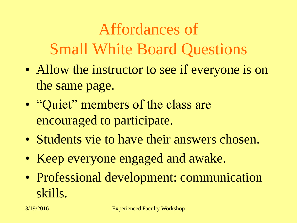Affordances of Small White Board Questions

- Allow the instructor to see if everyone is on the same page.
- "Quiet" members of the class are encouraged to participate.
- Students vie to have their answers chosen.
- Keep everyone engaged and awake.
- Professional development: communication skills.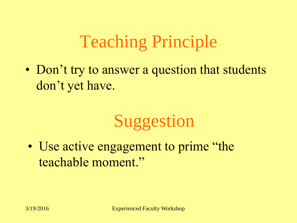## Teaching Principle

• Don't try to answer a question that students don't yet have.

## Suggestion

• Use active engagement to prime "the teachable moment."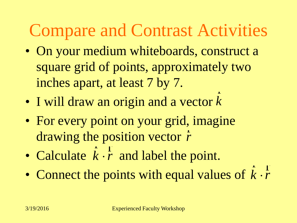## Compare and Contrast Activities

- On your medium whiteboards, construct a square grid of points, approximately two inches apart, at least 7 by 7. r
- I will draw an origin and a vector  $k$
- For every point on your grid, imagine drawing the position vector *r* • I will draw an origin and a vector  $k$ <br>
• For every point on your grid, imaginary drawing the position vector  $\dot{r}$ <br>
• Calculate  $\dot{k} \cdot \dot{r}$  and label the point.<br>
• Connect the points with equal value r<br>1
- Calculate  $k \cdot \overline{r}$  and label the point. <sup>r</sup> <sup>r</sup>
- Connect the points with equal values of  $k\cdot \bar{r}$ <sup>r</sup> <sup>r</sup>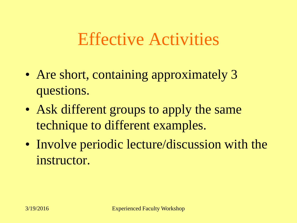#### Effective Activities

- Are short, containing approximately 3 questions.
- Ask different groups to apply the same technique to different examples.
- Involve periodic lecture/discussion with the instructor.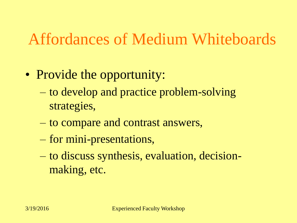#### Affordances of Medium Whiteboards

- Provide the opportunity:
	- to develop and practice problem-solving strategies,
	- to compare and contrast answers,
	- for mini-presentations,
	- to discuss synthesis, evaluation, decisionmaking, etc.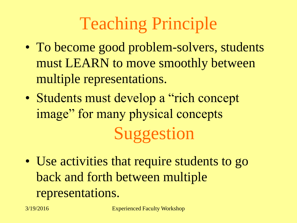## Teaching Principle

- To become good problem-solvers, students must LEARN to move smoothly between multiple representations.
- Students must develop a "rich concept" image" for many physical concepts Suggestion
- Use activities that require students to go back and forth between multiple representations.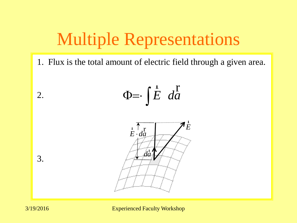## Multiple Representations

1. Flux is the total amount of electric field through a given area.





2.

3.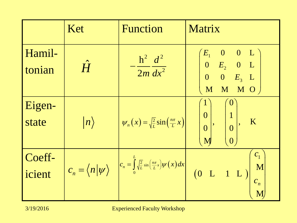|                  | Ket              | <b>Function</b>                                                                                                       | Matrix                                                                                                                                                                                   |
|------------------|------------------|-----------------------------------------------------------------------------------------------------------------------|------------------------------------------------------------------------------------------------------------------------------------------------------------------------------------------|
| Hamil-<br>tonian | $\hat{H}$        | $-\frac{\hbar^2}{2m}\frac{d^2}{dx^2}$                                                                                 | $\begin{array}{ccc} \left \langle E_{_1} & 0 & 0 & \mathrm{L} \ \ 0 & E_{_2} & 0 & \mathrm{L} \end{array} \right)$<br>$\begin{bmatrix} 0 & 0 & E_3 & L \end{bmatrix}$<br>$M$ $M$ $M$ $O$ |
| Eigen-<br>state  | $\vert n\rangle$ | $\psi_n(x) = \sqrt{\frac{2}{L}} \sin\left(\frac{n\pi}{L}x\right)$                                                     | $\mathbf{0}$<br>$\overline{1}$<br> 0 <br>K<br>$\begin{pmatrix} 0 \\ 0 \end{pmatrix}$<br>$\Big\vert 0 \Big\vert$<br>$\overline{0}$<br>M                                                   |
| Coeff-<br>icient |                  | $c_n = \langle n   \psi \rangle$ $c_n = \int_0^L \sqrt{\frac{2}{L}} \sin \left( \frac{n \pi}{L} x \right) \psi(x) dx$ | c <sub>1</sub><br>$\blacksquare$<br>(0 L 1 L)<br>$c_n$<br>$\overline{\mathbf{M}}$                                                                                                        |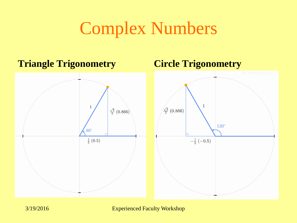### Complex Numbers

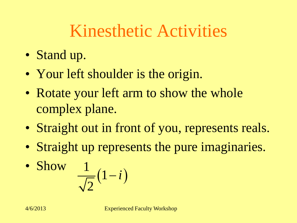## Kinesthetic Activities

- Stand up.
- Your left shoulder is the origin.
- Rotate your left arm to show the whole complex plane.
- Straight out in front of you, represents reals.
- Straight up represents the pure imaginaries.

• Show 
$$
\frac{1}{\sqrt{2}}(1-i)
$$
  
4/6/2013  
Experienced Faculty Workshop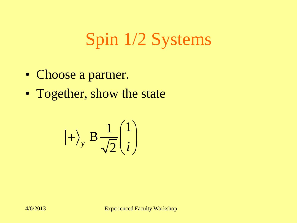## Spin 1/2 Systems

- Choose a partner.
- Together, show the state

$$
\left|+\right\rangle_{y} B \frac{1}{\sqrt{2}} \begin{pmatrix} 1 \\ i \end{pmatrix}
$$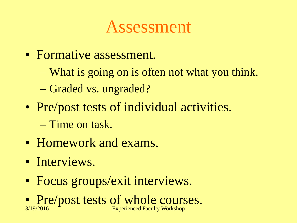#### Assessment

- Formative assessment.
	- What is going on is often not what you think.
	- Graded vs. ungraded?
- Pre/post tests of individual activities.
	- Time on task.
- Homework and exams.
- Interviews.
- Focus groups/exit interviews.
- Pre/post tests of whole courses. 3/19/2016 Experienced Faculty Workshop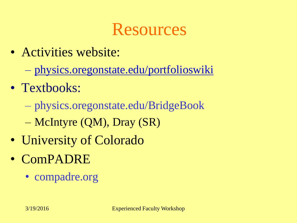#### Resources

- Activities website:
	- [physics.oregonstate.edu/portfolioswiki](http://www.physics.oregonstate.edu/portfolioswiki)
- Textbooks:
	- physics.oregonstate.edu/BridgeBook
	- McIntyre (QM), Dray (SR)
- University of Colorado
- ComPADRE
	- compadre.org